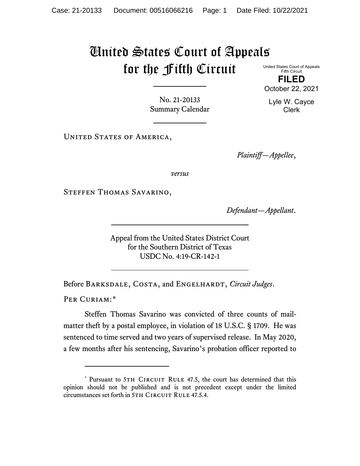## United States Court of Appeals for the Fifth Circuit

United States Court of Appeals Fifth Circuit **FILED** October 22, 2021

Lyle W. Cayce Clerk

No. 21-20133 Summary Calendar

UNITED STATES OF AMERICA,

*Plaintiff—Appellee*,

*versus*

Steffen Thomas Savarino,

*Defendant—Appellant*.

Appeal from the United States District Court for the Southern District of Texas USDC No. 4:19-CR-142-1

Before Barksdale, Costa, and Engelhardt, *Circuit Judges*.

PER CURIAM:[\\*](#page-0-0)

Steffen Thomas Savarino was convicted of three counts of mailmatter theft by a postal employee, in violation of 18 U.S.C. § 1709. He was sentenced to time served and two years of supervised release. In May 2020, a few months after his sentencing, Savarino's probation officer reported to

<span id="page-0-0"></span><sup>\*</sup> Pursuant to 5TH CIRCUIT RULE 47.5, the court has determined that this opinion should not be published and is not precedent except under the limited circumstances set forth in 5TH CIRCUIT RULE 47.5.4.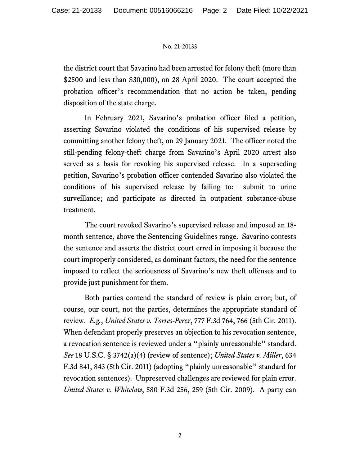## No. 21-20133

the district court that Savarino had been arrested for felony theft (more than \$2500 and less than \$30,000), on 28 April 2020. The court accepted the probation officer's recommendation that no action be taken, pending disposition of the state charge.

In February 2021, Savarino's probation officer filed a petition, asserting Savarino violated the conditions of his supervised release by committing another felony theft, on 29 January 2021. The officer noted the still-pending felony-theft charge from Savarino's April 2020 arrest also served as a basis for revoking his supervised release. In a superseding petition, Savarino's probation officer contended Savarino also violated the conditions of his supervised release by failing to: submit to urine surveillance; and participate as directed in outpatient substance-abuse treatment.

The court revoked Savarino's supervised release and imposed an 18 month sentence, above the Sentencing Guidelines range. Savarino contests the sentence and asserts the district court erred in imposing it because the court improperly considered, as dominant factors, the need for the sentence imposed to reflect the seriousness of Savarino's new theft offenses and to provide just punishment for them.

Both parties contend the standard of review is plain error; but, of course, our court, not the parties, determines the appropriate standard of review. *E.g.*, *United States v. Torres-Perez*, 777 F.3d 764, 766 (5th Cir. 2011). When defendant properly preserves an objection to his revocation sentence, a revocation sentence is reviewed under a "plainly unreasonable" standard. *See* 18 U.S.C. § 3742(a)(4) (review of sentence); *United States v. Miller*, 634 F.3d 841, 843 (5th Cir. 2011) (adopting "plainly unreasonable" standard for revocation sentences). Unpreserved challenges are reviewed for plain error. *United States v. Whitelaw*, 580 F.3d 256, 259 (5th Cir. 2009). A party can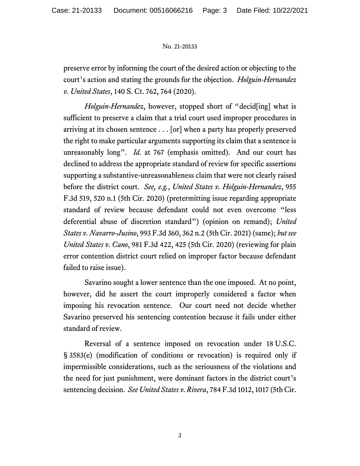## No. 21-20133

preserve error by informing the court of the desired action or objecting to the court's action and stating the grounds for the objection. *Holguin-Hernandez v. United States*, 140 S. Ct. 762, 764 (2020).

*Holguin-Hernandez*, however, stopped short of "decid[ing] what is sufficient to preserve a claim that a trial court used improper procedures in arriving at its chosen sentence . . . [or] when a party has properly preserved the right to make particular arguments supporting its claim that a sentence is unreasonably long". *Id.* at 767 (emphasis omitted). And our court has declined to address the appropriate standard of review for specific assertions supporting a substantive-unreasonableness claim that were not clearly raised before the district court. *See, e.g.*, *United States v. Holguin-Hernandez*, 955 F.3d 519, 520 n.1 (5th Cir. 2020) (pretermitting issue regarding appropriate standard of review because defendant could not even overcome "less deferential abuse of discretion standard") (opinion on remand); *United States v. Navarro-Jusino*, 993 F.3d 360, 362 n.2 (5th Cir. 2021) (same); *but see United States v. Cano*, 981 F.3d 422, 425 (5th Cir. 2020) (reviewing for plain error contention district court relied on improper factor because defendant failed to raise issue).

Savarino sought a lower sentence than the one imposed. At no point, however, did he assert the court improperly considered a factor when imposing his revocation sentence. Our court need not decide whether Savarino preserved his sentencing contention because it fails under either standard of review.

Reversal of a sentence imposed on revocation under 18 U.S.C. § 3583(e) (modification of conditions or revocation) is required only if impermissible considerations, such as the seriousness of the violations and the need for just punishment, were dominant factors in the district court's sentencing decision. *See United States v. Rivera*, 784 F.3d 1012, 1017 (5th Cir.